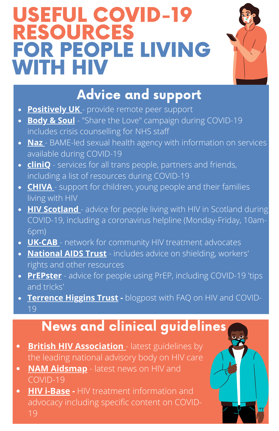# USEFUL COVID-19 RESOURCES FOR PEOPLE LIVING WITH HIV



## Advice and support

- **[Positively](https://positivelyuk.org/) UK** provide remote peer support
- **[Body](http://bodyandsoulcharity.org/sharethelove/) & Soul** "Share the Love" campaign during COVID-19 includes crisis counselling for NHS staff
- **[Naz](http://www.naz.org.uk/covid-19)** [-](http://www.naz.org.uk/covid-19) BAME-led sexual health agency with information on services available during COVID-19
- **[cliniQ](https://cliniq.org.uk/)** services for all trans people, partners and friends, including a list of resources during COVID-19
- **[CHIVA](https://www.chiva.org.uk/)** support for children, young people and their families living with HIV
- **HIV [Scotland](https://www.hiv.scot/news/coronavirus-covid-19-and-people-living-with-hiv-in-scotland)** advice for people living with HIV in Scotland during COVID-19, including a coronavirus helpline (Monday-Friday, 10am-6pm)
- **[UK-CAB](http://www.ukcab.net/)** network for community HIV treatment advocates
- **[National](https://www.nat.org.uk/coronavirus-hiv) AIDS Trust** includes advice on shielding, workers' rights and other resources
- **[PrEPster](https://prepster.info/covid/)** advice for people using PrEP, including COVID-19 'tips and tricks'
- **[Terrence](https://www.tht.org.uk/news/coronavirus-covid-19) Higgins Trust -** blogpost with FAQ on HIV and COVID-19

#### News and clinical guidelines

- **British HIV [Association](https://www.bhiva.org/Coronavirus-COVID-19)** latest guidelines by  $\bullet$ the leading national advisory body on HIV care
- **NAM [Aidsmap](https://www.aidsmap.com/archive?content-type%5B0%5D=news&content-type%5B1%5D=about-hiv&topic%5B0%5D=14452)** latest news on HIV and COVID-19
- **HIV [i-Base](https://i-base.info/hiv-and-covid-19/) -** HIV treatment information and advocacy including specific content on COVID-19